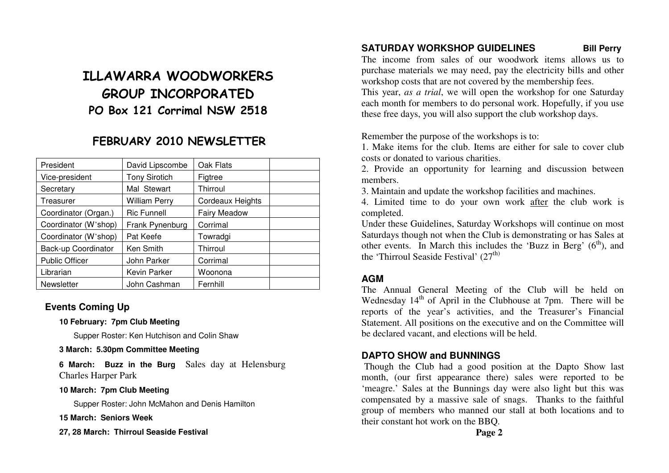# ILLAWARRA WOODWORKERS GROUP INCORPORATED PO Box 121 Corrimal NSW 2518

## FEBRUARY 2010 NEWSLETTER

| President             | David Lipscombe      | Oak Flats        |  |
|-----------------------|----------------------|------------------|--|
| Vice-president        | <b>Tony Sirotich</b> | Figtree          |  |
| Secretary             | Mal Stewart          | Thirroul         |  |
| Treasurer             | <b>William Perry</b> | Cordeaux Heights |  |
| Coordinator (Organ.)  | <b>Ric Funnell</b>   | Fairy Meadow     |  |
| Coordinator (W'shop)  | Frank Pynenburg      | Corrimal         |  |
| Coordinator (W'shop)  | Pat Keefe            | Towradgi         |  |
| Back-up Coordinator   | Ken Smith            | Thirroul         |  |
| <b>Public Officer</b> | John Parker          | Corrimal         |  |
| Librarian             | Kevin Parker         | Woonona          |  |
| Newsletter            | John Cashman         | Fernhill         |  |

## **Events Coming Up**

## **10 February: 7pm Club Meeting**

Supper Roster: Ken Hutchison and Colin Shaw

## **3 March: 5.30pm Committee Meeting**

**6 March: Buzz in the Burg** Sales day at Helensburg Charles Harper Park

## **10 March: 7pm Club Meeting**

Supper Roster: John McMahon and Denis Hamilton

**15 March: Seniors Week** 

## **27, 28 March: Thirroul Seaside Festival**

## **SATURDAY WORKSHOP GUIDELINES Bill Perry**

 The income from sales of our woodwork items allows us to purchase materials we may need, pay the electricity bills and other workshop costs that are not covered by the membership fees.

 This year, *as a trial*, we will open the workshop for one Saturday each month for members to do personal work. Hopefully, if you use these free days, you will also support the club workshop days.

Remember the purpose of the workshops is to:

 1. Make items for the club. Items are either for sale to cover club costs or donated to various charities.

2. Provide an opportunity for learning and discussion between members.

3. Maintain and update the workshop facilities and machines.

4. Limited time to do your own work after the club work is completed.

 Under these Guidelines, Saturday Workshops will continue on most Saturdays though not when the Club is demonstrating or has Sales at other events. In March this includes the 'Buzz in Berg'  $(6<sup>th</sup>)$ , and the 'Thirroul Seaside Festival'  $(27<sup>th</sup>)$ 

## **AGM**

 The Annual General Meeting of the Club will be held on Wednesday 14<sup>th</sup> of April in the Clubhouse at 7pm. There will be reports of the year's activities, and the Treasurer's Financial Statement. All positions on the executive and on the Committee will be declared vacant, and elections will be held.

## **DAPTO SHOW and BUNNINGS**

 Though the Club had a good position at the Dapto Show last month, (our first appearance there) sales were reported to be 'meagre.' Sales at the Bunnings day were also light but this was compensated by a massive sale of snags. Thanks to the faithful group of members who manned our stall at both locations and to their constant hot work on the BBQ.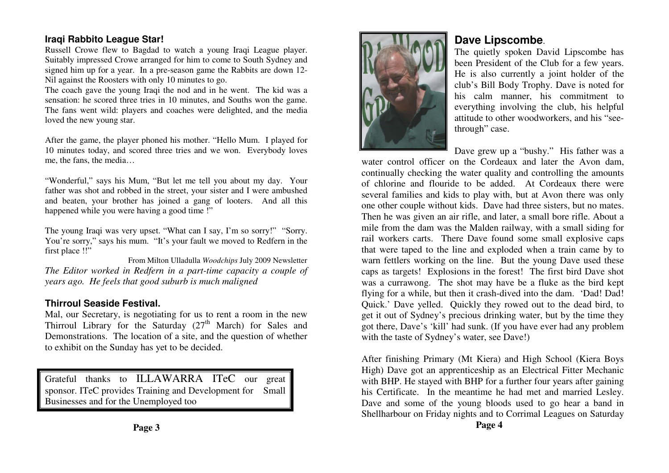## **Iraqi Rabbito League Star!**

 Russell Crowe flew to Bagdad to watch a young Iraqi League player. Suitably impressed Crowe arranged for him to come to South Sydney and signed him up for a year. In a pre-season game the Rabbits are down 12-Nil against the Roosters with only 10 minutes to go.

 The coach gave the young Iraqi the nod and in he went. The kid was a sensation: he scored three tries in 10 minutes, and Souths won the game. The fans went wild: players and coaches were delighted, and the media loved the new young star.

After the game, the player phoned his mother. "Hello Mum. I played for 10 minutes today, and scored three tries and we won. Everybody loves me, the fans, the media…

"Wonderful," says his Mum, "But let me tell you about my day. Your father was shot and robbed in the street, your sister and I were ambushed and beaten, your brother has joined a gang of looters. And all this happened while you were having a good time !"

The young Iraqi was very upset. "What can I say, I'm so sorry!" "Sorry. You're sorry," says his mum. "It's your fault we moved to Redfern in the first place !!"

 From Milton Ulladulla *Woodchips* July 2009 Newsletter *The Editor worked in Redfern in a part-time capacity a couple of years ago. He feels that good suburb is much maligned* 

## **Thirroul Seaside Festival.**

 Mal, our Secretary, is negotiating for us to rent a room in the new Thirroul Library for the Saturday  $(27<sup>th</sup>$  March) for Sales and Demonstrations. The location of a site, and the question of whether to exhibit on the Sunday has yet to be decided.

Grateful thanks to ILLAWARRA ITeC our grea<sup>t</sup>sponsor. ITeC provides Training and Development for Small Businesses and for the Unemployed too

**Page 3** 



## **Dave Lipscombe**.

The quietly spoken David Lipscombe has been President of the Club for a few years. He is also currently a joint holder of the club's Bill Body Trophy. Dave is noted for his calm manner, his commitment to everything involving the club, his helpful attitude to other woodworkers, and his "seethrough" case.

Dave grew up a "bushy." His father was a

 water control officer on the Cordeaux and later the Avon dam, continually checking the water quality and controlling the amounts of chlorine and flouride to be added. At Cordeaux there were several families and kids to play with, but at Avon there was only one other couple without kids. Dave had three sisters, but no mates. Then he was given an air rifle, and later, a small bore rifle. About a mile from the dam was the Malden railway, with a small siding for rail workers carts. There Dave found some small explosive caps that were taped to the line and exploded when a train came by to warn fettlers working on the line. But the young Dave used these caps as targets! Explosions in the forest! The first bird Dave shot was a currawong. The shot may have be a fluke as the bird kept flying for a while, but then it crash-dived into the dam. 'Dad! Dad! Quick.' Dave yelled. Quickly they rowed out to the dead bird, to get it out of Sydney's precious drinking water, but by the time they got there, Dave's 'kill' had sunk. (If you have ever had any problem with the taste of Sydney's water, see Dave!)

After finishing Primary (Mt Kiera) and High School (Kiera Boys High) Dave got an apprenticeship as an Electrical Fitter Mechanic with BHP. He stayed with BHP for a further four years after gaining his Certificate. In the meantime he had met and married Lesley. Dave and some of the young bloods used to go hear a band in Shellharbour on Friday nights and to Corrimal Leagues on Saturday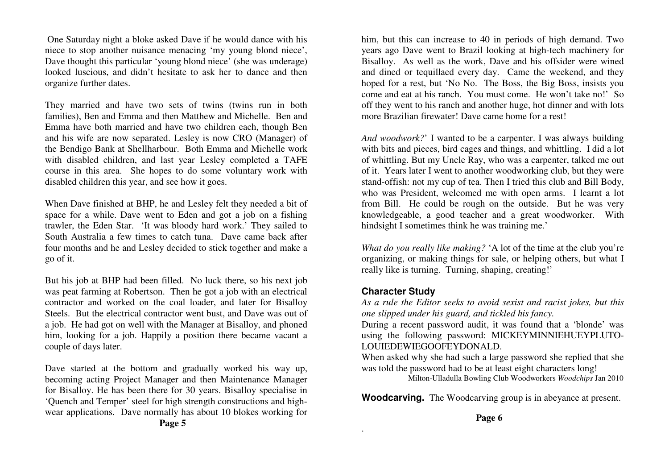One Saturday night a bloke asked Dave if he would dance with his niece to stop another nuisance menacing 'my young blond niece', Dave thought this particular 'young blond niece' (she was underage) looked luscious, and didn't hesitate to ask her to dance and then organize further dates.

They married and have two sets of twins (twins run in both families), Ben and Emma and then Matthew and Michelle. Ben and Emma have both married and have two children each, though Ben and his wife are now separated. Lesley is now CRO (Manager) of the Bendigo Bank at Shellharbour. Both Emma and Michelle work with disabled children, and last year Lesley completed a TAFE course in this area. She hopes to do some voluntary work with disabled children this year, and see how it goes.

When Dave finished at BHP, he and Lesley felt they needed a bit of space for a while. Dave went to Eden and got a job on a fishing trawler, the Eden Star. 'It was bloody hard work.' They sailed to South Australia a few times to catch tuna. Dave came back after four months and he and Lesley decided to stick together and make a go of it.

But his job at BHP had been filled. No luck there, so his next job was peat farming at Robertson. Then he got a job with an electrical contractor and worked on the coal loader, and later for Bisalloy Steels. But the electrical contractor went bust, and Dave was out of a job. He had got on well with the Manager at Bisalloy, and phoned him, looking for a job. Happily a position there became vacant a couple of days later.

Dave started at the bottom and gradually worked his way up, becoming acting Project Manager and then Maintenance Manager for Bisalloy. He has been there for 30 years. Bisalloy specialise in 'Quench and Temper' steel for high strength constructions and highwear applications. Dave normally has about 10 blokes working for him, but this can increase to 40 in periods of high demand. Two years ago Dave went to Brazil looking at high-tech machinery for Bisalloy. As well as the work, Dave and his offsider were wined and dined or tequillaed every day. Came the weekend, and they hoped for a rest, but 'No No. The Boss, the Big Boss, insists you come and eat at his ranch. You must come. He won't take no!' So off they went to his ranch and another huge, hot dinner and with lots more Brazilian firewater! Dave came home for a rest!

*And woodwork?*' I wanted to be a carpenter. I was always building with bits and pieces, bird cages and things, and whittling. I did a lot of whittling. But my Uncle Ray, who was a carpenter, talked me out of it. Years later I went to another woodworking club, but they were stand-offish: not my cup of tea. Then I tried this club and Bill Body, who was President, welcomed me with open arms. I learnt a lot from Bill. He could be rough on the outside. But he was very knowledgeable, a good teacher and a great woodworker. With hindsight I sometimes think he was training me.'

*What do you really like making?* 'A lot of the time at the club you're organizing, or making things for sale, or helping others, but what I really like is turning. Turning, shaping, creating!'

## **Character Study**

.

 *As a rule the Editor seeks to avoid sexist and racist jokes, but this one slipped under his guard, and tickled his fancy.*

 During a recent password audit, it was found that a 'blonde' was using the following password: MICKEYMINNIEHUEYPLUTO-LOUIEDEWIEGOOFEYDONALD.

 When asked why she had such a large password she replied that she was told the password had to be at least eight characters long!

Milton-Ulladulla Bowling Club Woodworkers *Woodchips* Jan 2010

**Woodcarving.** The Woodcarving group is in abeyance at present.